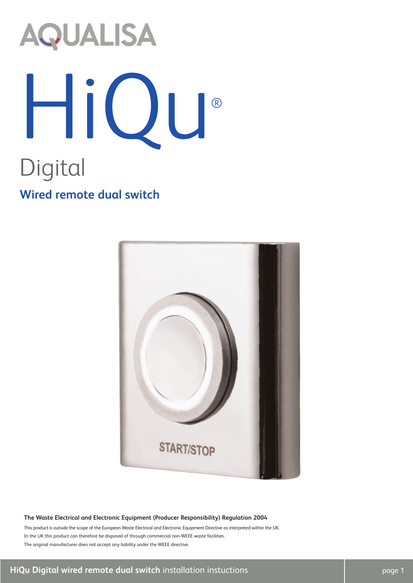# **AQUALISA** HiQu® Digital **Wired remote dual switch**



#### **The Waste Electrical and Electronic Equipment (Producer Responsibility) Regulation 2004**

This product is outside the scope of the European Waste Electrical and Electronic Equipment Directive as interpreted within the UK. In the UK this product can therefore be disposed of through commercial non-WEEE waste facilities. The original manufacturer does not accept any liability under the WEEE directive.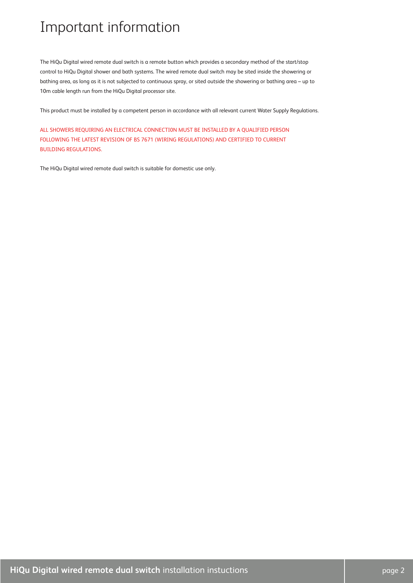## Important information

The HiQu Digital wired remote dual switch is a remote button which provides a secondary method of the start/stop control to HiQu Digital shower and bath systems. The wired remote dual switch may be sited inside the showering or bathing area, as long as it is not subjected to continuous spray, or sited outside the showering or bathing area – up to 10m cable length run from the HiQu Digital processor site.

This product must be installed by a competent person in accordance with all relevant current Water Supply Regulations.

ALL SHOWERS REQUIRING AN ELECTRICAL CONNECTI0N MUST BE INSTALLED BY A QUALIFIED PERSON FOLLOWING THE LATEST REVISION OF BS 7671 (WIRING REGULATIONS) AND CERTIFIED TO CURRENT BUILDING REGULATIONS.

The HiQu Digital wired remote dual switch is suitable for domestic use only.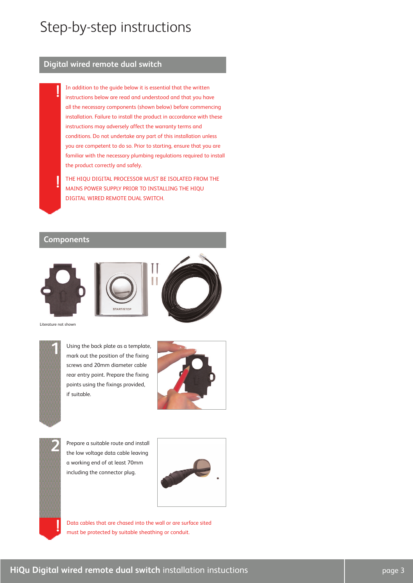## Step-by-step instructions

### **Digital wired remote dual switch**

In addition to the guide below it is essential that the written instructions below are read and understood and that you have all the necessary components (shown below) before commencing installation. Failure to install the product in accordance with these instructions may adversely affect the warranty terms and conditions. Do not undertake any part of this installation unless you are competent to do so. Prior to starting, ensure that you are familiar with the necessary plumbing regulations required to install the product correctly and safely.

THE HIQU DIGITAL PROCESSOR MUST BE ISOLATED FROM THE MAINS POWER SUPPLY PRIOR TO INSTALLING THE HIQU DIGITAL WIRED REMOTE DUAL SWITCH.

### **Components**

**!**

**!**







Literature not shown



Using the back plate as a template, mark out the position of the fixing screws and 20mm diameter cable rear entry point. Prepare the fixing points using the fixings provided, if suitable.





Prepare a suitable route and install the low voltage data cable leaving a working end of at least 70mm including the connector plug.



Data cables that are chased into the wall or are surface sited must be protected by suitable sheathing or conduit.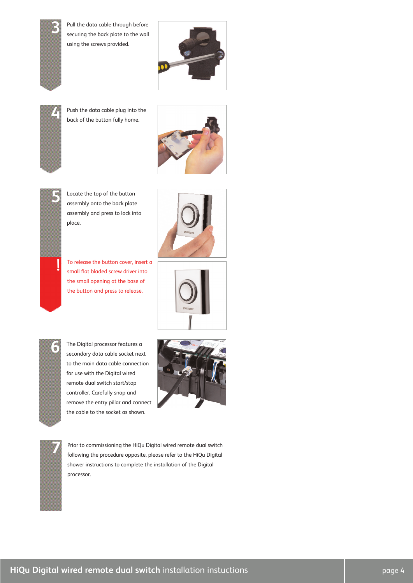

Pull the data cable through before securing the back plate to the wall using the screws provided.





Push the data cable plug into the **4** back of the button fully home.





Locate the top of the button assembly onto the back plate assembly and press to lock into place.

To release the button cover, insert a small flat bladed screw driver into the small opening at the base of the button and press to release.







The Digital processor features a secondary data cable socket next to the main data cable connection for use with the Digital wired remote dual switch start/stop controller. Carefully snap and remove the entry pillar and connect the cable to the socket as shown.





Prior to commissioning the HiQu Digital wired remote dual switch following the procedure opposite, please refer to the HiQu Digital shower instructions to complete the installation of the Digital processor.